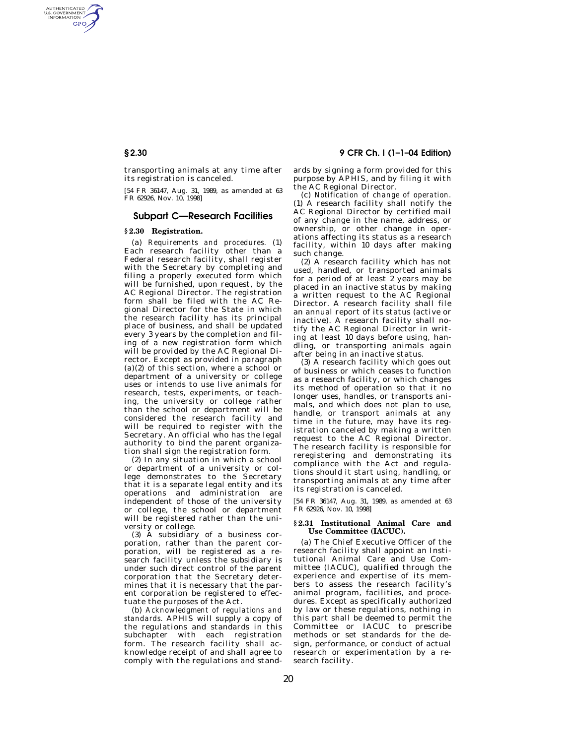AUTHENTICATED<br>U.S. GOVERNMENT<br>INFORMATION GPO

> transporting animals at any time after its registration is canceled.

> [54 FR 36147, Aug. 31, 1989, as amended at 63 FR 62926, Nov. 10, 1998]

# **Subpart C—Research Facilities**

## **§ 2.30 Registration.**

(a) *Requirements and procedures.* (1) Each research facility other than a Federal research facility, shall register with the Secretary by completing and filing a properly executed form which will be furnished, upon request, by the AC Regional Director. The registration form shall be filed with the AC Regional Director for the State in which the research facility has its principal place of business, and shall be updated every 3 years by the completion and filing of a new registration form which will be provided by the AC Regional Director. Except as provided in paragraph (a)(2) of this section, where a school or department of a university or college uses or intends to use live animals for research, tests, experiments, or teaching, the university or college rather than the school or department will be considered the research facility and will be required to register with the Secretary. An official who has the legal authority to bind the parent organization shall sign the registration form.

(2) In any situation in which a school or department of a university or college demonstrates to the Secretary that it is a separate legal entity and its operations and administration are independent of those of the university or college, the school or department will be registered rather than the university or college.

(3) A subsidiary of a business corporation, rather than the parent corporation, will be registered as a research facility unless the subsidiary is under such direct control of the parent corporation that the Secretary determines that it is necessary that the parent corporation be registered to effectuate the purposes of the Act.

(b) *Acknowledgment of regulations and standards.* APHIS will supply a copy of the regulations and standards in this subchapter with each registration form. The research facility shall acknowledge receipt of and shall agree to comply with the regulations and stand-

**§ 2.30 9 CFR Ch. I (1–1–04 Edition)**

ards by signing a form provided for this purpose by APHIS, and by filing it with the AC Regional Director.

(c) *Notification of change of operation.* (1) A research facility shall notify the AC Regional Director by certified mail of any change in the name, address, or ownership, or other change in operations affecting its status as a research facility, within 10 days after making such change.

(2) A research facility which has not used, handled, or transported animals for a period of at least 2 years may be placed in an inactive status by making a written request to the AC Regional Director. A research facility shall file an annual report of its status (active or inactive). A research facility shall notify the AC Regional Director in writing at least 10 days before using, handling, or transporting animals again after being in an inactive status.

(3) A research facility which goes out of business or which ceases to function as a research facility, or which changes its method of operation so that it no longer uses, handles, or transports animals, and which does not plan to use, handle, or transport animals at any time in the future, may have its registration canceled by making a written request to the AC Regional Director. The research facility is responsible for reregistering and demonstrating its compliance with the Act and regulations should it start using, handling, or transporting animals at any time after its registration is canceled.

[54 FR 36147, Aug. 31, 1989, as amended at 63 FR 62926, Nov. 10, 1998]

#### **§ 2.31 Institutional Animal Care and Use Committee (IACUC).**

(a) The Chief Executive Officer of the research facility shall appoint an Institutional Animal Care and Use Committee (IACUC), qualified through the experience and expertise of its members to assess the research facility's animal program, facilities, and procedures. Except as specifically authorized by law or these regulations, nothing in this part shall be deemed to permit the Committee or IACUC to prescribe methods or set standards for the design, performance, or conduct of actual research or experimentation by a research facility.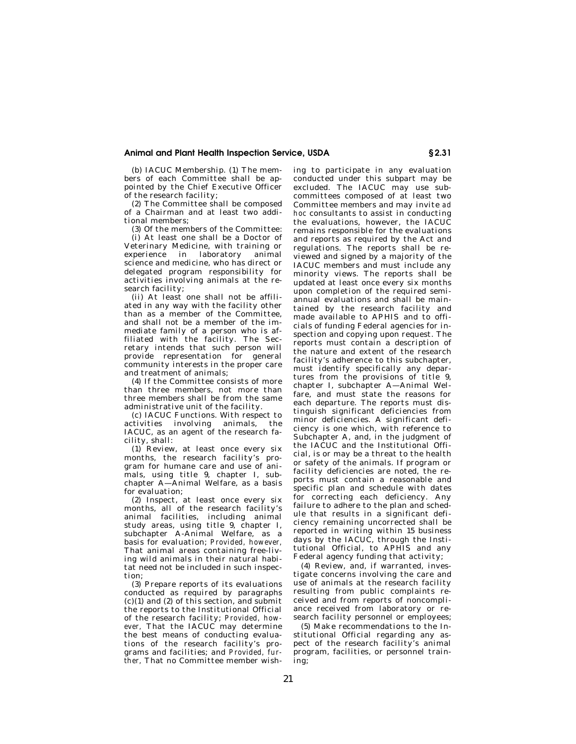### **Animal and Plant Health Inspection Service, USDA § 2.31**

(b) IACUC Membership. (1) The members of each Committee shall be appointed by the Chief Executive Officer .<br>of the research facility;

(2) The Committee shall be composed of a Chairman and at least two additional members;

(3) Of the members of the Committee: (i) At least one shall be a Doctor of Veterinary Medicine, with training or experience in laboratory animal science and medicine, who has direct or delegated program responsibility for activities involving animals at the research facility;

(ii) At least one shall not be affiliated in any way with the facility other than as a member of the Committee, and shall not be a member of the immediate family of a person who is affiliated with the facility. The Secretary intends that such person will provide representation for general community interests in the proper care and treatment of animals;

(4) If the Committee consists of more than three members, not more than three members shall be from the same administrative unit of the facility.

(c) IACUC Functions. With respect to activities involving animals, the IACUC, as an agent of the research facility, shall:

(1) Review, at least once every six months, the research facility's program for humane care and use of animals, using title 9, chapter I, subchapter A—Animal Welfare, as a basis for evaluation;

(2) Inspect, at least once every six months, all of the research facility's animal facilities, including animal study areas, using title 9, chapter I, subchapter A-Animal Welfare, as a basis for evaluation; *Provided, however,* That animal areas containing free-living wild animals in their natural habitat need not be included in such inspection;

(3) Prepare reports of its evaluations conducted as required by paragraphs  $(c)(1)$  and  $(2)$  of this section, and submit the reports to the Institutional Official of the research facility; *Provided, however,* That the IACUC may determine the best means of conducting evaluations of the research facility's programs and facilities; and *Provided, further,* That no Committee member wishing to participate in any evaluation conducted under this subpart may be excluded. The IACUC may use subcommittees composed of at least two Committee members and may invite *ad hoc* consultants to assist in conducting the evaluations, however, the IACUC remains responsible for the evaluations and reports as required by the Act and regulations. The reports shall be reviewed and signed by a majority of the IACUC members and must include any minority views. The reports shall be updated at least once every six months upon completion of the required semiannual evaluations and shall be maintained by the research facility and made available to APHIS and to officials of funding Federal agencies for inspection and copying upon request. The reports must contain a description of the nature and extent of the research facility's adherence to this subchapter, must identify specifically any departures from the provisions of title 9, chapter I, subchapter A—Animal Welfare, and must state the reasons for each departure. The reports must distinguish significant deficiencies from minor deficiencies. A significant deficiency is one which, with reference to Subchapter A, and, in the judgment of the IACUC and the Institutional Official, is or may be a threat to the health or safety of the animals. If program or facility deficiencies are noted, the reports must contain a reasonable and specific plan and schedule with dates for correcting each deficiency. Any failure to adhere to the plan and schedule that results in a significant deficiency remaining uncorrected shall be reported in writing within 15 business days by the IACUC, through the Institutional Official, to APHIS and any Federal agency funding that activity;

(4) Review, and, if warranted, investigate concerns involving the care and use of animals at the research facility resulting from public complaints received and from reports of noncompliance received from laboratory or research facility personnel or employees;

(5) Make recommendations to the Institutional Official regarding any aspect of the research facility's animal program, facilities, or personnel training;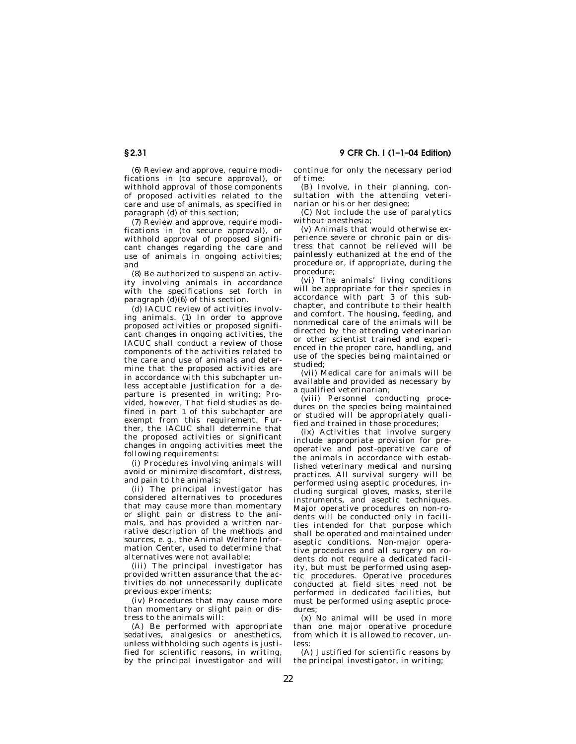(6) Review and approve, require modifications in (to secure approval), or withhold approval of those components of proposed activities related to the care and use of animals, as specified in paragraph (d) of this section;

(7) Review and approve, require modifications in (to secure approval), or withhold approval of proposed significant changes regarding the care and use of animals in ongoing activities; and

(8) Be authorized to suspend an activity involving animals in accordance with the specifications set forth in paragraph  $(d)(6)$  of this section.

(d) IACUC review of activities involving animals. (1) In order to approve proposed activities or proposed significant changes in ongoing activities, the IACUC shall conduct a review of those components of the activities related to the care and use of animals and determine that the proposed activities are in accordance with this subchapter unless acceptable justification for a departure is presented in writing; *Provided, however,* That field studies as defined in part 1 of this subchapter are exempt from this requirement. Further, the IACUC shall determine that the proposed activities or significant changes in ongoing activities meet the following requirements:

(i) Procedures involving animals will avoid or minimize discomfort, distress, and pain to the animals;

(ii) The principal investigator has considered alternatives to procedures that may cause more than momentary or slight pain or distress to the animals, and has provided a written narrative description of the methods and sources, *e. g.*, the Animal Welfare Information Center, used to determine that alternatives were not available;

(iii) The principal investigator has provided written assurance that the activities do not unnecessarily duplicate previous experiments;

(iv) Procedures that may cause more than momentary or slight pain or distress to the animals will:

(A) Be performed with appropriate sedatives, analgesics or anesthetics, unless withholding such agents is justified for scientific reasons, in writing, by the principal investigator and will continue for only the necessary period of time;

(B) Involve, in their planning, consultation with the attending veterinarian or his or her designee;

(C) Not include the use of paralytics without anesthesia;

(v) Animals that would otherwise experience severe or chronic pain or distress that cannot be relieved will be painlessly euthanized at the end of the procedure or, if appropriate, during the procedure;

(vi) The animals' living conditions will be appropriate for their species in accordance with part 3 of this subchapter, and contribute to their health and comfort. The housing, feeding, and nonmedical care of the animals will be directed by the attending veterinarian or other scientist trained and experienced in the proper care, handling, and use of the species being maintained or studied;

(vii) Medical care for animals will be available and provided as necessary by a qualified veterinarian;

(viii) Personnel conducting procedures on the species being maintained or studied will be appropriately qualified and trained in those procedures;

(ix) Activities that involve surgery include appropriate provision for preoperative and post-operative care of the animals in accordance with established veterinary medical and nursing practices. All survival surgery will be performed using aseptic procedures, including surgical gloves, masks, sterile instruments, and aseptic techniques. Major operative procedures on non-rodents will be conducted only in facilities intended for that purpose which shall be operated and maintained under aseptic conditions. Non-major operative procedures and all surgery on rodents do not require a dedicated facility, but must be performed using aseptic procedures. Operative procedures conducted at field sites need not be performed in dedicated facilities, but must be performed using aseptic procedures;

(x) No animal will be used in more than one major operative procedure from which it is allowed to recover, unless:

(A) Justified for scientific reasons by the principal investigator, in writing;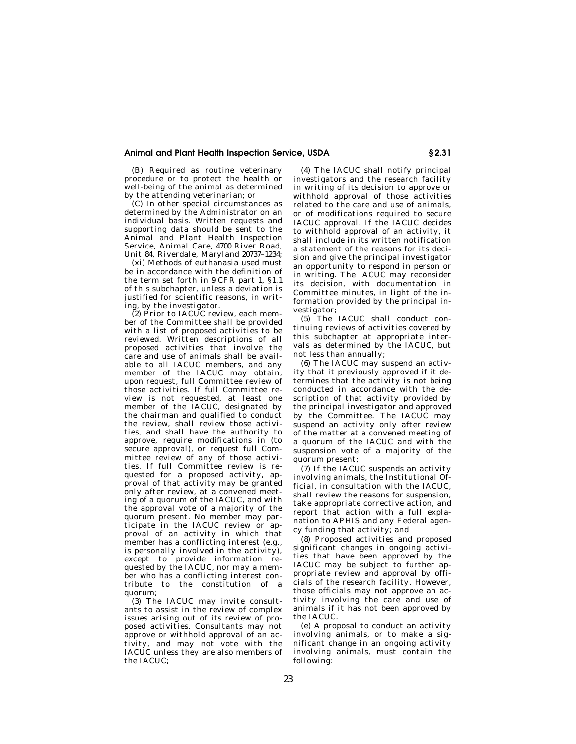### **Animal and Plant Health Inspection Service, USDA § 2.31**

(B) Required as routine veterinary procedure or to protect the health or well-being of the animal as determined by the attending veterinarian; or

(C) In other special circumstances as determined by the Administrator on an individual basis. Written requests and supporting data should be sent to the Animal and Plant Health Inspection Service, Animal Care, 4700 River Road, Unit 84, Riverdale, Maryland 20737–1234;

(xi) Methods of euthanasia used must be in accordance with the definition of the term set forth in 9 CFR part 1, §1.1 of this subchapter, unless a deviation is justified for scientific reasons, in writing, by the investigator.

(2) Prior to IACUC review, each member of the Committee shall be provided with a list of proposed activities to be reviewed. Written descriptions of all proposed activities that involve the care and use of animals shall be available to all IACUC members, and any member of the IACUC may obtain, upon request, full Committee review of those activities. If full Committee review is not requested, at least one member of the IACUC, designated by the chairman and qualified to conduct the review, shall review those activities, and shall have the authority to approve, require modifications in (to secure approval), or request full Committee review of any of those activities. If full Committee review is requested for a proposed activity, approval of that activity may be granted only after review, at a convened meeting of a quorum of the IACUC, and with the approval vote of a majority of the quorum present. No member may participate in the IACUC review or approval of an activity in which that member has a conflicting interest (e.g., is personally involved in the activity), except to provide information requested by the IACUC, nor may a member who has a conflicting interest contribute to the constitution of a quorum;

(3) The IACUC may invite consultants to assist in the review of complex issues arising out of its review of proposed activities. Consultants may not approve or withhold approval of an activity, and may not vote with the IACUC unless they are also members of the IACUC;

(4) The IACUC shall notify principal investigators and the research facility in writing of its decision to approve or withhold approval of those activities related to the care and use of animals, or of modifications required to secure IACUC approval. If the IACUC decides to withhold approval of an activity, it shall include in its written notification a statement of the reasons for its decision and give the principal investigator an opportunity to respond in person or in writing. The IACUC may reconsider its decision, with documentation in Committee minutes, in light of the information provided by the principal investigator;

(5) The IACUC shall conduct continuing reviews of activities covered by this subchapter at appropriate intervals as determined by the IACUC, but not less than annually;

(6) The IACUC may suspend an activity that it previously approved if it determines that the activity is not being conducted in accordance with the description of that activity provided by the principal investigator and approved by the Committee. The IACUC may suspend an activity only after review of the matter at a convened meeting of a quorum of the IACUC and with the suspension vote of a majority of the quorum present;

(7) If the IACUC suspends an activity involving animals, the Institutional Official, in consultation with the IACUC, shall review the reasons for suspension, take appropriate corrective action, and report that action with a full explanation to APHIS and any Federal agency funding that activity; and

(8) Proposed activities and proposed significant changes in ongoing activities that have been approved by the IACUC may be subject to further appropriate review and approval by officials of the research facility. However, those officials may not approve an activity involving the care and use of animals if it has not been approved by the IACUC.

(e) A proposal to conduct an activity involving animals, or to make a significant change in an ongoing activity involving animals, must contain the following: